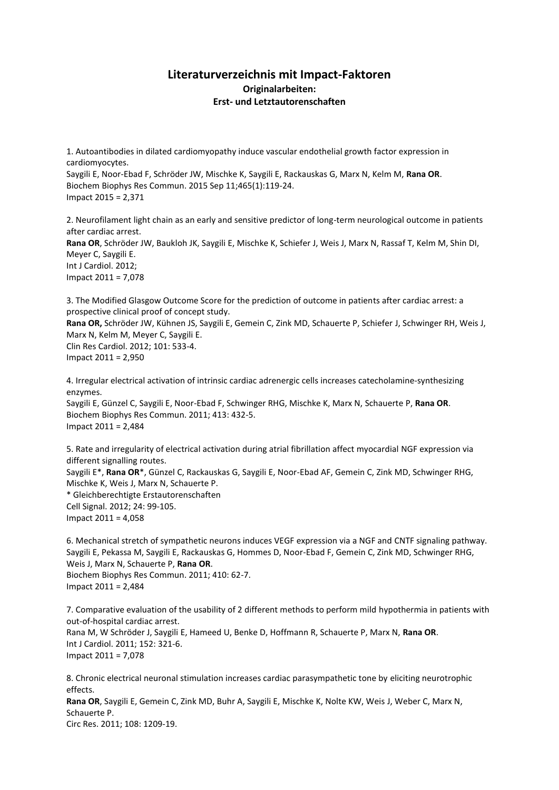## **Literaturverzeichnis mit Impact-Faktoren Originalarbeiten: Erst- und Letztautorenschaften**

1. Autoantibodies in dilated cardiomyopathy induce vascular endothelial growth factor expression in cardiomyocytes.

Saygili E, Noor-Ebad F, Schröder JW, Mischke K, Saygili E, Rackauskas G, Marx N, Kelm M, **Rana OR**. Biochem Biophys Res Commun. 2015 Sep 11;465(1):119-24. Impact 2015 = 2,371

2. Neurofilament light chain as an early and sensitive predictor of long-term neurological outcome in patients after cardiac arrest. **Rana OR**, Schröder JW, Baukloh JK, Saygili E, Mischke K, Schiefer J, Weis J, Marx N, Rassaf T, Kelm M, Shin DI, Meyer C, Saygili E. Int J Cardiol. 2012; Impact 2011 = 7,078

3. The Modified Glasgow Outcome Score for the prediction of outcome in patients after cardiac arrest: a prospective clinical proof of concept study.

**Rana OR,** Schröder JW, Kühnen JS, Saygili E, Gemein C, Zink MD, Schauerte P, Schiefer J, Schwinger RH, Weis J, Marx N, Kelm M, Meyer C, Saygili E. Clin Res Cardiol. 2012; 101: 533-4. Impact 2011 = 2,950

4. Irregular electrical activation of intrinsic cardiac adrenergic cells increases catecholamine-synthesizing enzymes. Saygili E, Günzel C, Saygili E, Noor-Ebad F, Schwinger RHG, Mischke K, Marx N, Schauerte P, **Rana OR**. Biochem Biophys Res Commun. 2011; 413: 432-5. Impact 2011 = 2,484

5. Rate and irregularity of electrical activation during atrial fibrillation affect myocardial NGF expression via different signalling routes. Saygili E\*, **Rana OR**\*, Günzel C, Rackauskas G, Saygili E, Noor-Ebad AF, Gemein C, Zink MD, Schwinger RHG, Mischke K, Weis J, Marx N, Schauerte P. \* Gleichberechtigte Erstautorenschaften Cell Signal. 2012; 24: 99-105. Impact 2011 = 4,058

6. Mechanical stretch of sympathetic neurons induces VEGF expression via a NGF and CNTF signaling pathway. Saygili E, Pekassa M, Saygili E, Rackauskas G, Hommes D, Noor-Ebad F, Gemein C, Zink MD, Schwinger RHG, Weis J, Marx N, Schauerte P, **Rana OR**. Biochem Biophys Res Commun. 2011; 410: 62-7. Impact 2011 = 2,484

7. Comparative evaluation of the usability of 2 different methods to perform mild hypothermia in patients with out-of-hospital cardiac arrest. Rana M, W Schröder J, Saygili E, Hameed U, Benke D, Hoffmann R, Schauerte P, Marx N, **Rana OR**. Int J Cardiol. 2011; 152: 321-6. Impact 2011 = 7,078

8. Chronic electrical neuronal stimulation increases cardiac parasympathetic tone by eliciting neurotrophic effects. **Rana OR**, Saygili E, Gemein C, Zink MD, Buhr A, Saygili E, Mischke K, Nolte KW, Weis J, Weber C, Marx N, Schauerte P.

Circ Res. 2011; 108: 1209-19.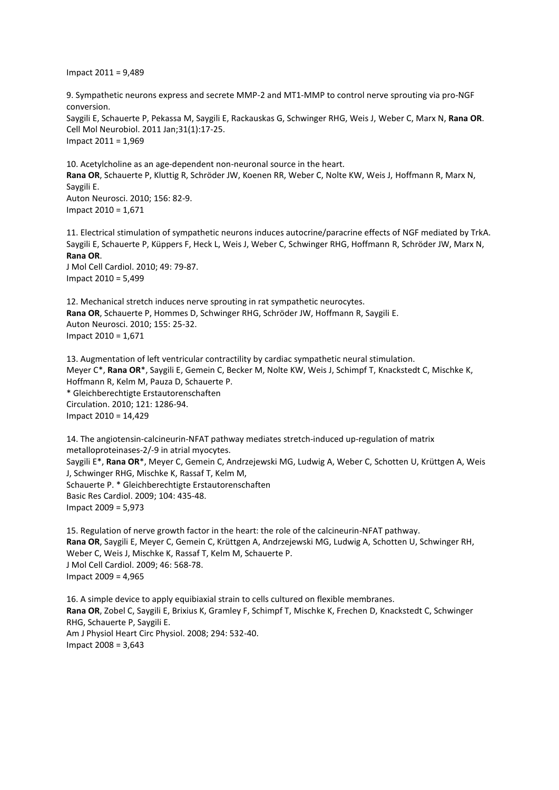Impact 2011 = 9,489

9. Sympathetic neurons express and secrete MMP-2 and MT1-MMP to control nerve sprouting via pro-NGF conversion. Saygili E, Schauerte P, Pekassa M, Saygili E, Rackauskas G, Schwinger RHG, Weis J, Weber C, Marx N, **Rana OR**. Cell Mol Neurobiol. 2011 Jan;31(1):17-25. Impact 2011 = 1,969

10. Acetylcholine as an age-dependent non-neuronal source in the heart. **Rana OR**, Schauerte P, Kluttig R, Schröder JW, Koenen RR, Weber C, Nolte KW, Weis J, Hoffmann R, Marx N, Saygili E. Auton Neurosci. 2010; 156: 82-9. Impact 2010 = 1,671

11. Electrical stimulation of sympathetic neurons induces autocrine/paracrine effects of NGF mediated by TrkA. Saygili E, Schauerte P, Küppers F, Heck L, Weis J, Weber C, Schwinger RHG, Hoffmann R, Schröder JW, Marx N, **Rana OR**.

J Mol Cell Cardiol. 2010; 49: 79-87. Impact 2010 = 5,499

12. Mechanical stretch induces nerve sprouting in rat sympathetic neurocytes. **Rana OR**, Schauerte P, Hommes D, Schwinger RHG, Schröder JW, Hoffmann R, Saygili E. Auton Neurosci. 2010; 155: 25-32. Impact 2010 = 1,671

13. Augmentation of left ventricular contractility by cardiac sympathetic neural stimulation. Meyer C\*, **Rana OR**\*, Saygili E, Gemein C, Becker M, Nolte KW, Weis J, Schimpf T, Knackstedt C, Mischke K, Hoffmann R, Kelm M, Pauza D, Schauerte P. \* Gleichberechtigte Erstautorenschaften Circulation. 2010; 121: 1286-94. Impact 2010 = 14,429

14. The angiotensin-calcineurin-NFAT pathway mediates stretch-induced up-regulation of matrix metalloproteinases-2/-9 in atrial myocytes. Saygili E\*, **Rana OR**\*, Meyer C, Gemein C, Andrzejewski MG, Ludwig A, Weber C, Schotten U, Krüttgen A, Weis J, Schwinger RHG, Mischke K, Rassaf T, Kelm M, Schauerte P. \* Gleichberechtigte Erstautorenschaften Basic Res Cardiol. 2009; 104: 435-48. Impact 2009 = 5,973

15. Regulation of nerve growth factor in the heart: the role of the calcineurin-NFAT pathway. **Rana OR**, Saygili E, Meyer C, Gemein C, Krüttgen A, Andrzejewski MG, Ludwig A, Schotten U, Schwinger RH, Weber C, Weis J, Mischke K, Rassaf T, Kelm M, Schauerte P. J Mol Cell Cardiol. 2009; 46: 568-78. Impact 2009 = 4,965

16. A simple device to apply equibiaxial strain to cells cultured on flexible membranes. **Rana OR**, Zobel C, Saygili E, Brixius K, Gramley F, Schimpf T, Mischke K, Frechen D, Knackstedt C, Schwinger RHG, Schauerte P, Saygili E. Am J Physiol Heart Circ Physiol. 2008; 294: 532-40. Impact 2008 = 3,643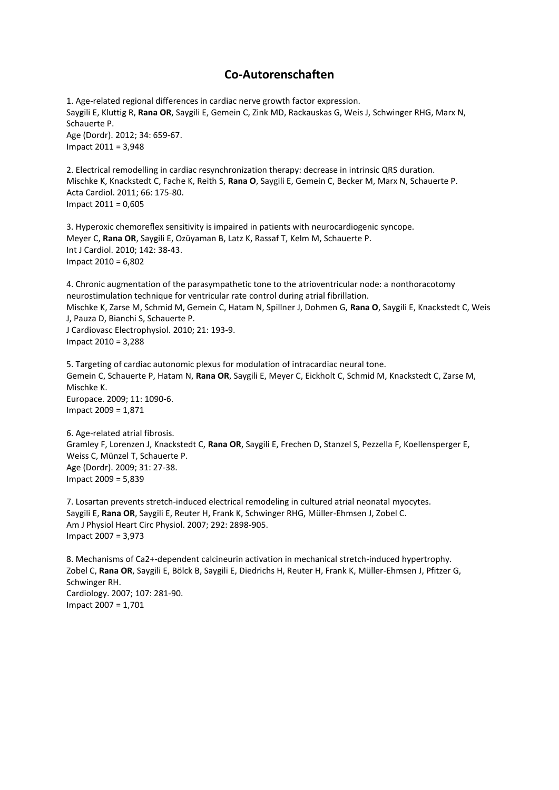## **Co-Autorenschaften**

1. Age-related regional differences in cardiac nerve growth factor expression. Saygili E, Kluttig R, **Rana OR**, Saygili E, Gemein C, Zink MD, Rackauskas G, Weis J, Schwinger RHG, Marx N, Schauerte P. Age (Dordr). 2012; 34: 659-67. Impact 2011 = 3,948

2. Electrical remodelling in cardiac resynchronization therapy: decrease in intrinsic QRS duration. Mischke K, Knackstedt C, Fache K, Reith S, **Rana O**, Saygili E, Gemein C, Becker M, Marx N, Schauerte P. Acta Cardiol. 2011; 66: 175-80. Impact 2011 = 0,605

3. Hyperoxic chemoreflex sensitivity is impaired in patients with neurocardiogenic syncope. Meyer C, **Rana OR**, Saygili E, Ozüyaman B, Latz K, Rassaf T, Kelm M, Schauerte P. Int J Cardiol. 2010; 142: 38-43. Impact 2010 = 6,802

4. Chronic augmentation of the parasympathetic tone to the atrioventricular node: a nonthoracotomy neurostimulation technique for ventricular rate control during atrial fibrillation. Mischke K, Zarse M, Schmid M, Gemein C, Hatam N, Spillner J, Dohmen G, **Rana O**, Saygili E, Knackstedt C, Weis J, Pauza D, Bianchi S, Schauerte P. J Cardiovasc Electrophysiol. 2010; 21: 193-9. Impact 2010 = 3,288

5. Targeting of cardiac autonomic plexus for modulation of intracardiac neural tone. Gemein C, Schauerte P, Hatam N, **Rana OR**, Saygili E, Meyer C, Eickholt C, Schmid M, Knackstedt C, Zarse M, Mischke K. Europace. 2009; 11: 1090-6. Impact 2009 = 1,871

6. Age-related atrial fibrosis. Gramley F, Lorenzen J, Knackstedt C, **Rana OR**, Saygili E, Frechen D, Stanzel S, Pezzella F, Koellensperger E, Weiss C, Münzel T, Schauerte P. Age (Dordr). 2009; 31: 27-38. Impact 2009 = 5,839

7. Losartan prevents stretch-induced electrical remodeling in cultured atrial neonatal myocytes. Saygili E, **Rana OR**, Saygili E, Reuter H, Frank K, Schwinger RHG, Müller-Ehmsen J, Zobel C. Am J Physiol Heart Circ Physiol. 2007; 292: 2898-905. Impact 2007 = 3,973

8. Mechanisms of Ca2+-dependent calcineurin activation in mechanical stretch-induced hypertrophy. Zobel C, **Rana OR**, Saygili E, Bölck B, Saygili E, Diedrichs H, Reuter H, Frank K, Müller-Ehmsen J, Pfitzer G, Schwinger RH. Cardiology. 2007; 107: 281-90. Impact 2007 = 1,701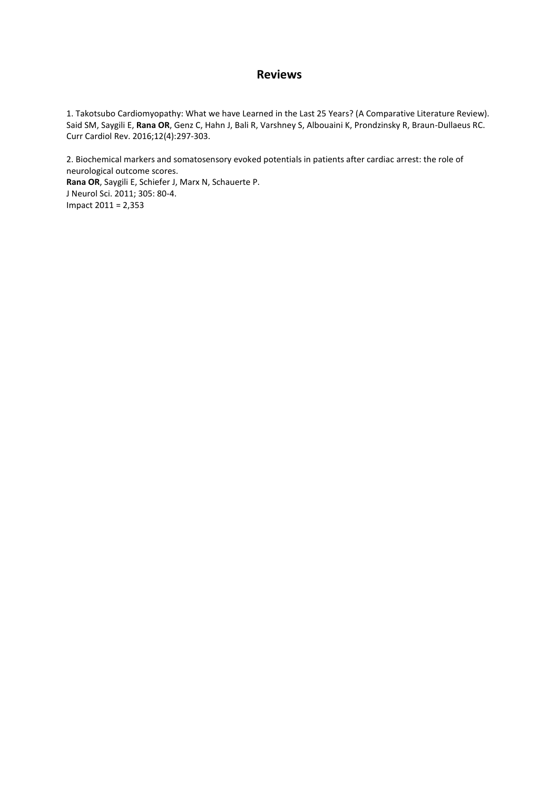#### **Reviews**

1. Takotsubo Cardiomyopathy: What we have Learned in the Last 25 Years? (A Comparative Literature Review). Said SM, Saygili E, **Rana OR**, Genz C, Hahn J, Bali R, Varshney S, Albouaini K, Prondzinsky R, Braun-Dullaeus RC. Curr Cardiol Rev. 2016;12(4):297-303.

2. Biochemical markers and somatosensory evoked potentials in patients after cardiac arrest: the role of neurological outcome scores. **Rana OR**, Saygili E, Schiefer J, Marx N, Schauerte P. J Neurol Sci. 2011; 305: 80-4. Impact 2011 = 2,353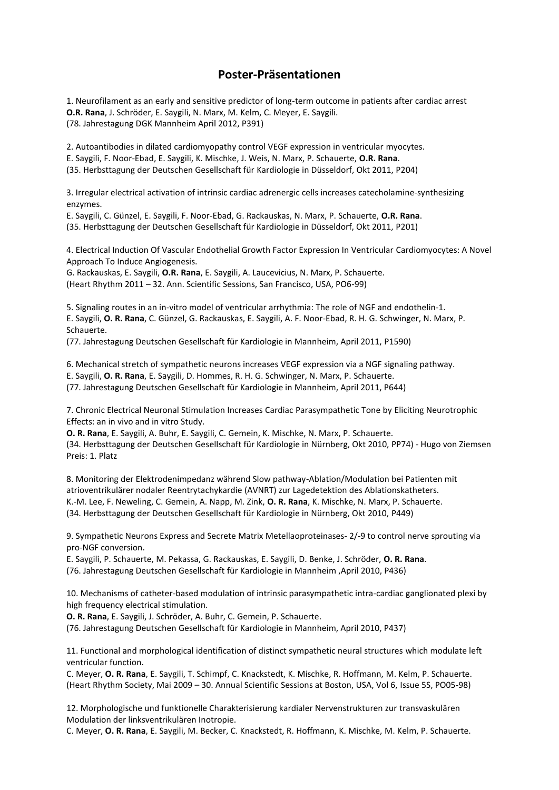# **Poster-Präsentationen**

1. Neurofilament as an early and sensitive predictor of long-term outcome in patients after cardiac arrest **O.R. Rana**, J. Schröder, E. Saygili, N. Marx, M. Kelm, C. Meyer, E. Saygili. (78. Jahrestagung DGK Mannheim April 2012, P391)

2. Autoantibodies in dilated cardiomyopathy control VEGF expression in ventricular myocytes.

E. Saygili, F. Noor-Ebad, E. Saygili, K. Mischke, J. Weis, N. Marx, P. Schauerte, **O.R. Rana**.

(35. Herbsttagung der Deutschen Gesellschaft für Kardiologie in Düsseldorf, Okt 2011, P204)

3. Irregular electrical activation of intrinsic cardiac adrenergic cells increases catecholamine-synthesizing enzymes.

E. Saygili, C. Günzel, E. Saygili, F. Noor-Ebad, G. Rackauskas, N. Marx, P. Schauerte, **O.R. Rana**. (35. Herbsttagung der Deutschen Gesellschaft für Kardiologie in Düsseldorf, Okt 2011, P201)

4. Electrical Induction Of Vascular Endothelial Growth Factor Expression In Ventricular Cardiomyocytes: A Novel Approach To Induce Angiogenesis.

G. Rackauskas, E. Saygili, **O.R. Rana**, E. Saygili, A. Laucevicius, N. Marx, P. Schauerte. (Heart Rhythm 2011 – 32. Ann. Scientific Sessions, San Francisco, USA, PO6-99)

5. Signaling routes in an in-vitro model of ventricular arrhythmia: The role of NGF and endothelin-1. E. Saygili, **O. R. Rana**, C. Günzel, G. Rackauskas, E. Saygili, A. F. Noor-Ebad, R. H. G. Schwinger, N. Marx, P. Schauerte.

(77. Jahrestagung Deutschen Gesellschaft für Kardiologie in Mannheim, April 2011, P1590)

6. Mechanical stretch of sympathetic neurons increases VEGF expression via a NGF signaling pathway.

E. Saygili, **O. R. Rana**, E. Saygili, D. Hommes, R. H. G. Schwinger, N. Marx, P. Schauerte.

(77. Jahrestagung Deutschen Gesellschaft für Kardiologie in Mannheim, April 2011, P644)

7. Chronic Electrical Neuronal Stimulation Increases Cardiac Parasympathetic Tone by Eliciting Neurotrophic Effects: an in vivo and in vitro Study.

**O. R. Rana**, E. Saygili, A. Buhr, E. Saygili, C. Gemein, K. Mischke, N. Marx, P. Schauerte. (34. Herbsttagung der Deutschen Gesellschaft für Kardiologie in Nürnberg, Okt 2010, PP74) - Hugo von Ziemsen Preis: 1. Platz

8. Monitoring der Elektrodenimpedanz während Slow pathway-Ablation/Modulation bei Patienten mit atrioventrikulärer nodaler Reentrytachykardie (AVNRT) zur Lagedetektion des Ablationskatheters. K.-M. Lee, F. Neweling, C. Gemein, A. Napp, M. Zink, **O. R. Rana**, K. Mischke, N. Marx, P. Schauerte. (34. Herbsttagung der Deutschen Gesellschaft für Kardiologie in Nürnberg, Okt 2010, P449)

9. Sympathetic Neurons Express and Secrete Matrix Metellaoproteinases- 2/-9 to control nerve sprouting via pro-NGF conversion.

E. Saygili, P. Schauerte, M. Pekassa, G. Rackauskas, E. Saygili, D. Benke, J. Schröder, **O. R. Rana**. (76. Jahrestagung Deutschen Gesellschaft für Kardiologie in Mannheim ,April 2010, P436)

10. Mechanisms of catheter-based modulation of intrinsic parasympathetic intra-cardiac ganglionated plexi by high frequency electrical stimulation.

**O. R. Rana**, E. Saygili, J. Schröder, A. Buhr, C. Gemein, P. Schauerte.

(76. Jahrestagung Deutschen Gesellschaft für Kardiologie in Mannheim, April 2010, P437)

11. Functional and morphological identification of distinct sympathetic neural structures which modulate left ventricular function.

C. Meyer, **O. R. Rana**, E. Saygili, T. Schimpf, C. Knackstedt, K. Mischke, R. Hoffmann, M. Kelm, P. Schauerte. (Heart Rhythm Society, Mai 2009 – 30. Annual Scientific Sessions at Boston, USA, Vol 6, Issue 5S, PO05-98)

12. Morphologische und funktionelle Charakterisierung kardialer Nervenstrukturen zur transvaskulären Modulation der linksventrikulären Inotropie.

C. Meyer, **O. R. Rana**, E. Saygili, M. Becker, C. Knackstedt, R. Hoffmann, K. Mischke, M. Kelm, P. Schauerte.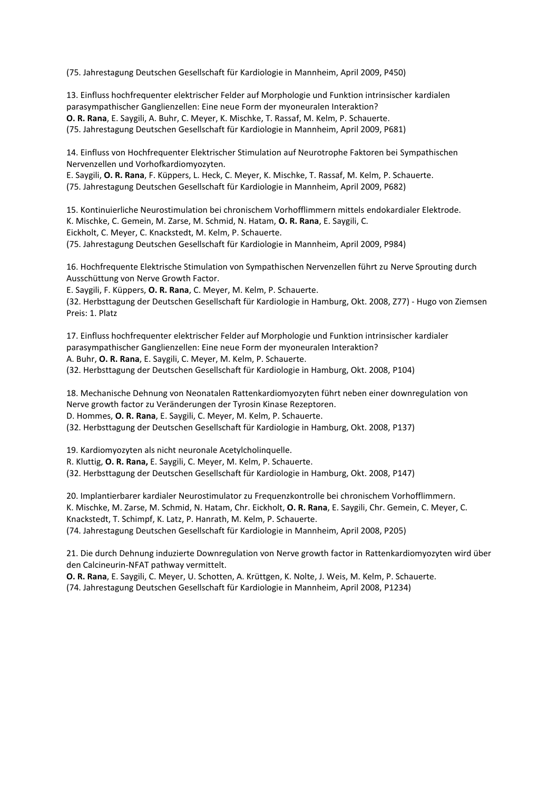(75. Jahrestagung Deutschen Gesellschaft für Kardiologie in Mannheim, April 2009, P450)

13. Einfluss hochfrequenter elektrischer Felder auf Morphologie und Funktion intrinsischer kardialen parasympathischer Ganglienzellen: Eine neue Form der myoneuralen Interaktion? **O. R. Rana**, E. Saygili, A. Buhr, C. Meyer, K. Mischke, T. Rassaf, M. Kelm, P. Schauerte. (75. Jahrestagung Deutschen Gesellschaft für Kardiologie in Mannheim, April 2009, P681)

14. Einfluss von Hochfrequenter Elektrischer Stimulation auf Neurotrophe Faktoren bei Sympathischen Nervenzellen und Vorhofkardiomyozyten.

E. Saygili, **O. R. Rana**, F. Küppers, L. Heck, C. Meyer, K. Mischke, T. Rassaf, M. Kelm, P. Schauerte. (75. Jahrestagung Deutschen Gesellschaft für Kardiologie in Mannheim, April 2009, P682)

15. Kontinuierliche Neurostimulation bei chronischem Vorhofflimmern mittels endokardialer Elektrode. K. Mischke, C. Gemein, M. Zarse, M. Schmid, N. Hatam, **O. R. Rana**, E. Saygili, C. Eickholt, C. Meyer, C. Knackstedt, M. Kelm, P. Schauerte. (75. Jahrestagung Deutschen Gesellschaft für Kardiologie in Mannheim, April 2009, P984)

16. Hochfrequente Elektrische Stimulation von Sympathischen Nervenzellen führt zu Nerve Sprouting durch Ausschüttung von Nerve Growth Factor.

E. Saygili, F. Küppers, **O. R. Rana**, C. Meyer, M. Kelm, P. Schauerte. (32. Herbsttagung der Deutschen Gesellschaft für Kardiologie in Hamburg, Okt. 2008, Z77) - Hugo von Ziemsen Preis: 1. Platz

17. Einfluss hochfrequenter elektrischer Felder auf Morphologie und Funktion intrinsischer kardialer parasympathischer Ganglienzellen: Eine neue Form der myoneuralen Interaktion? A. Buhr, **O. R. Rana**, E. Saygili, C. Meyer, M. Kelm, P. Schauerte. (32. Herbsttagung der Deutschen Gesellschaft für Kardiologie in Hamburg, Okt. 2008, P104)

18. Mechanische Dehnung von Neonatalen Rattenkardiomyozyten führt neben einer downregulation von Nerve growth factor zu Veränderungen der Tyrosin Kinase Rezeptoren. D. Hommes, **O. R. Rana**, E. Saygili, C. Meyer, M. Kelm, P. Schauerte. (32. Herbsttagung der Deutschen Gesellschaft für Kardiologie in Hamburg, Okt. 2008, P137)

19. Kardiomyozyten als nicht neuronale Acetylcholinquelle. R. Kluttig, **O. R. Rana,** E. Saygili, C. Meyer, M. Kelm, P. Schauerte. (32. Herbsttagung der Deutschen Gesellschaft für Kardiologie in Hamburg, Okt. 2008, P147)

20. Implantierbarer kardialer Neurostimulator zu Frequenzkontrolle bei chronischem Vorhofflimmern. K. Mischke, M. Zarse, M. Schmid, N. Hatam, Chr. Eickholt, **O. R. Rana**, E. Saygili, Chr. Gemein, C. Meyer, C. Knackstedt, T. Schimpf, K. Latz, P. Hanrath, M. Kelm, P. Schauerte. (74. Jahrestagung Deutschen Gesellschaft für Kardiologie in Mannheim, April 2008, P205)

21. Die durch Dehnung induzierte Downregulation von Nerve growth factor in Rattenkardiomyozyten wird über den Calcineurin-NFAT pathway vermittelt.

**O. R. Rana**, E. Saygili, C. Meyer, U. Schotten, A. Krüttgen, K. Nolte, J. Weis, M. Kelm, P. Schauerte. (74. Jahrestagung Deutschen Gesellschaft für Kardiologie in Mannheim, April 2008, P1234)